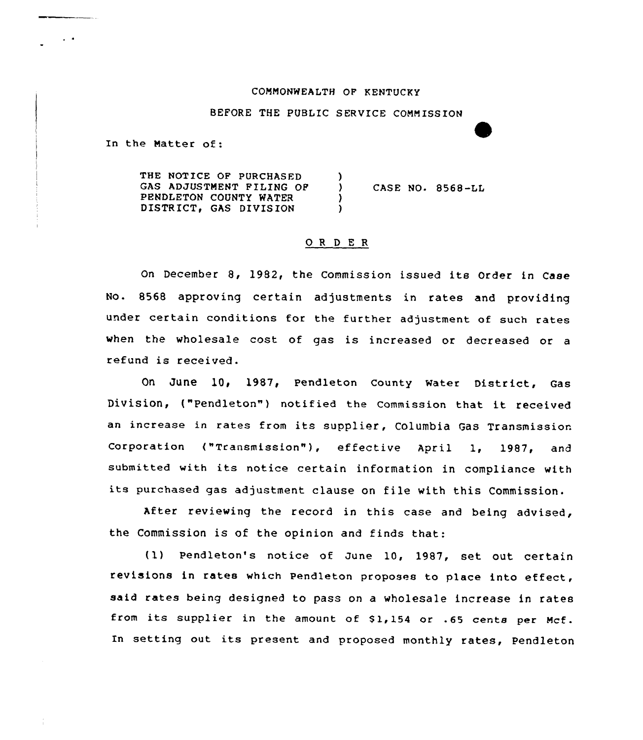#### COMMONWEALTH OF KENTUCKY

BEFORE THE PUBLIC SERVICE COMMISSION

In the Natter of:

 $\sim 10$ 

THE NOTICE OF PURCHASED GAS ADJUSTMENT FILING OF PENDLETON COUNTY WATER DISTRICT, GAS DIVISION )<br>) ) CASE NO. 8568-LL ) )

### ORDER

On December 8, 1982, the Commission issued its Order in Case No. 8568 approving certain adjustments in rates and providing under certain conditions for the further adjustment of such rates when the wholesale cost of gas is increased or decreased or <sup>a</sup> refund is received.

On June 10, 1987, pendleton county water District, Gas Division, ("Pendleton") notified the Commission that it received an increase in rates from its supplier, Columbia Gas Transmission Corporation ("Transmission"), effective April 1, 1987, and submitted with its notice certain information in compliance with its purchased gas adjustment clause on file with this Commission.

After reviewing the record in this case and being advised, the Commission is of the opinion and finds that:

(1) pendleton's notice of June 10, 1987, set out certain revisions in rates which Pendleton proposes to place into effect, said rates being designed to pass on a wholesale increase in rates from its supplier in the amount of \$1,154 or .65 cents per Mcf. In setting out its present and proposed monthly rates, Pendleton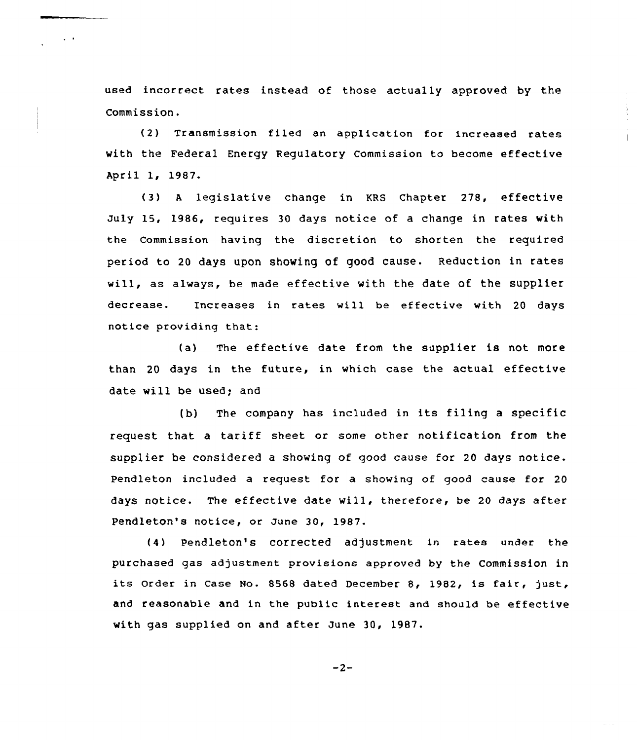used incorrect rates instead of those actually approved by the Commission.

Ĵ.

 $\sim 100$ 

(2) Transmission filed an appIication for increased rates with the Federal Energy Regulatory Commission to become effective April 1, 1987.

(3) a legislative change in KRs Chapter 278, effective July 15, 1986, requires 30 days notice of a change in rates with the Commission having the discretion to shorten the required period to 20 days upon showing of good cause. Reduction in rates will, as always, be made effective with the date of the supplier decrease. Increases in rates will be effective with 20 days notice providing that:

(a) The effective date from the supplier is not more than 20 days in the future, in which case the actual effective date will be used; and

(b) The company has included in its filing <sup>a</sup> specific request that <sup>a</sup> tariff sheet or some other notification from the supplier be considered a showing of good cause for 20 days notice. Pendleton included a request for a showing of good cause for 20 days notice. The effective date will, therefore, be 20 days after Pendleton's notice, or June 30, 1987.

(4) Pendleton's corrected adjustment in rates under the purchased gas adjustment provisions approved by the Commission in its Order in Case No. 8568 dated December 8, 1982, is fair, just, and reasonable and in the public interest and should be effective with gas supplied on and after June 30, 1987.

 $-2-$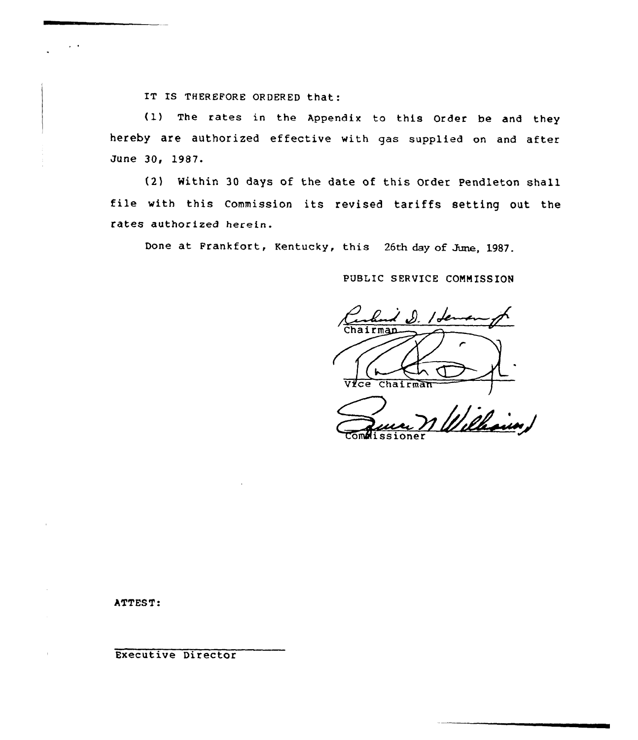IT IS THEREFORE ORDERED that:

(1) The rates in the Appendix to this Order be and they hereby are authorized effective with gas supplied on and after June 30, 19S7.

(2) Within 30 days of the date of this Order Pendleton shall file with this Commission its revised tariffs setting out the rates authorized herein.

Done at Frankfort, Kentucky, this 26th day of June, 1987.

PUBLIC SERVICE COMMISSION

 $\prime$  S. I fer

Vice Chairman

" (chain)

ATTEST:

Executive Director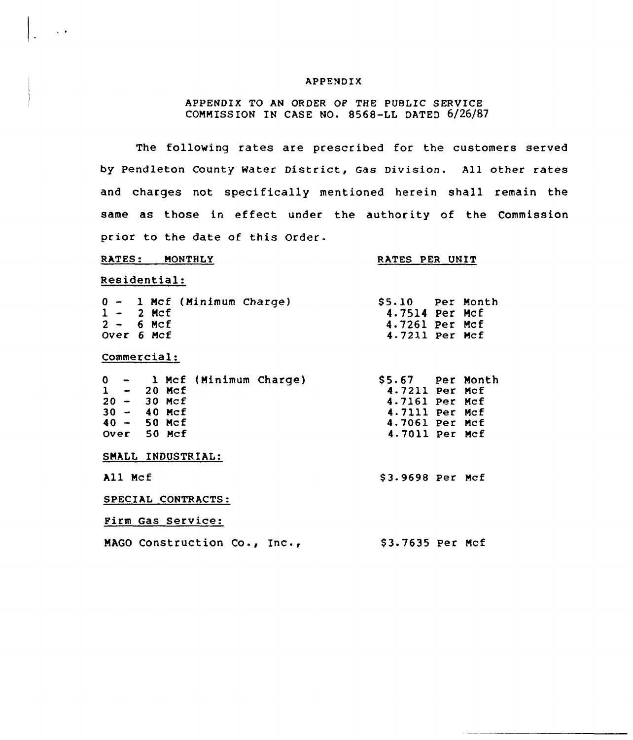#### APPENDIX

# APPENDIX TO AN ORDER OP THE PUBLIC SERVICE COMNISS ION IN CASE NO. 8568-LL DATED 6/26/87

The following rates are prescribed for the customers served by Pendleton County Water District, Gas Division. All other rates and charges not specifically mentioned herein shall remain the same as those in effect under the authority of the Commission prior to the date of this Order.

## RATES: MONTHLY

# RATES PER UNIT

Residential:

 $\sim$   $\sim$ 

|  | $1 - 2$ Mcf<br>$2 - 6$ Mcf | $0 - 1$ Mcf (Minimum Charge) | \$5.10 Per Month<br>4.7514 Per Mcf<br>4.7261 Per Mcf |  |
|--|----------------------------|------------------------------|------------------------------------------------------|--|
|  | Over 6 Mcf                 |                              | 4.7211 Per Mcf                                       |  |
|  | Commercial:                |                              |                                                      |  |

|         |  |  |               | $0 - 1$ Mcf (Minimum Charge) | \$5.67 Per Month  |  |
|---------|--|--|---------------|------------------------------|-------------------|--|
|         |  |  | $1 - 20$ Mcf  |                              | 4.7211 Per Mcf    |  |
|         |  |  | $20 - 30$ Mcf |                              | 4.7161 Per Mcf    |  |
|         |  |  | $30 - 40$ Mcf |                              | 4.7111 Per Mcf    |  |
|         |  |  | $40 - 50$ Mcf |                              | 4.7061 Per Mcf    |  |
|         |  |  | Over 50 Mcf   |                              | 4.7011 Per Mcf    |  |
|         |  |  |               | SMALL INDUSTRIAL:            |                   |  |
| All Mcf |  |  |               |                              | $$3.9698$ Per Mcf |  |

SPECIAL CONTRACTS:

Firm Gas Service:

MAGO Construction Co., Inc., \$ 3.7635 Per Mcf